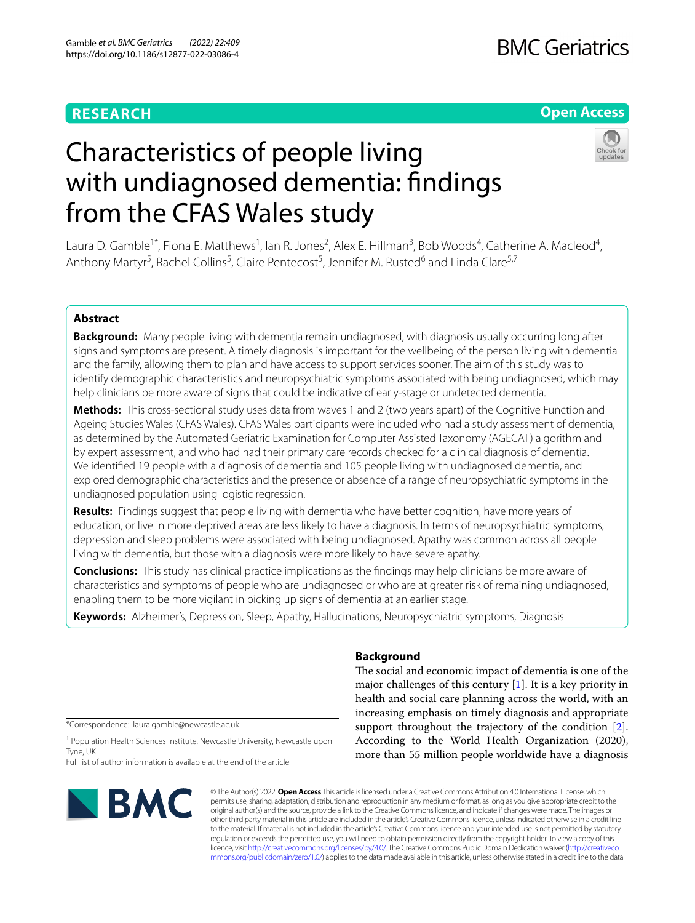## **RESEARCH**

## **BMC Geriatrics**

## **Open Access**



# Characteristics of people living with undiagnosed dementia: findings from the CFAS Wales study

Laura D. Gamble<sup>1\*</sup>, Fiona E. Matthews<sup>1</sup>, Ian R. Jones<sup>2</sup>, Alex E. Hillman<sup>3</sup>, Bob Woods<sup>4</sup>, Catherine A. Macleod<sup>4</sup>, Anthony Martyr<sup>5</sup>, Rachel Collins<sup>5</sup>, Claire Pentecost<sup>5</sup>, Jennifer M. Rusted<sup>6</sup> and Linda Clare<sup>5,7</sup>

#### **Abstract**

**Background:** Many people living with dementia remain undiagnosed, with diagnosis usually occurring long after signs and symptoms are present. A timely diagnosis is important for the wellbeing of the person living with dementia and the family, allowing them to plan and have access to support services sooner. The aim of this study was to identify demographic characteristics and neuropsychiatric symptoms associated with being undiagnosed, which may help clinicians be more aware of signs that could be indicative of early-stage or undetected dementia.

**Methods:** This cross-sectional study uses data from waves 1 and 2 (two years apart) of the Cognitive Function and Ageing Studies Wales (CFAS Wales). CFAS Wales participants were included who had a study assessment of dementia, as determined by the Automated Geriatric Examination for Computer Assisted Taxonomy (AGECAT) algorithm and by expert assessment, and who had had their primary care records checked for a clinical diagnosis of dementia. We identifed 19 people with a diagnosis of dementia and 105 people living with undiagnosed dementia, and explored demographic characteristics and the presence or absence of a range of neuropsychiatric symptoms in the undiagnosed population using logistic regression.

Results: Findings suggest that people living with dementia who have better cognition, have more years of education, or live in more deprived areas are less likely to have a diagnosis. In terms of neuropsychiatric symptoms, depression and sleep problems were associated with being undiagnosed. Apathy was common across all people living with dementia, but those with a diagnosis were more likely to have severe apathy.

**Conclusions:** This study has clinical practice implications as the fndings may help clinicians be more aware of characteristics and symptoms of people who are undiagnosed or who are at greater risk of remaining undiagnosed, enabling them to be more vigilant in picking up signs of dementia at an earlier stage.

**Keywords:** Alzheimer's, Depression, Sleep, Apathy, Hallucinations, Neuropsychiatric symptoms, Diagnosis

\*Correspondence: laura.gamble@newcastle.ac.uk

<sup>1</sup> Population Health Sciences Institute, Newcastle University, Newcastle upon Tyne, UK

Full list of author information is available at the end of the article



## **Background**

The social and economic impact of dementia is one of the major challenges of this century  $[1]$  $[1]$ . It is a key priority in health and social care planning across the world, with an increasing emphasis on timely diagnosis and appropriate support throughout the trajectory of the condition [\[2](#page-10-1)]. According to the World Health Organization (2020), more than 55 million people worldwide have a diagnosis

© The Author(s) 2022. **Open Access** This article is licensed under a Creative Commons Attribution 4.0 International License, which permits use, sharing, adaptation, distribution and reproduction in any medium or format, as long as you give appropriate credit to the original author(s) and the source, provide a link to the Creative Commons licence, and indicate if changes were made. The images or other third party material in this article are included in the article's Creative Commons licence, unless indicated otherwise in a credit line to the material. If material is not included in the article's Creative Commons licence and your intended use is not permitted by statutory regulation or exceeds the permitted use, you will need to obtain permission directly from the copyright holder. To view a copy of this licence, visit [http://creativecommons.org/licenses/by/4.0/.](http://creativecommons.org/licenses/by/4.0/) The Creative Commons Public Domain Dedication waiver ([http://creativeco](http://creativecommons.org/publicdomain/zero/1.0/) [mmons.org/publicdomain/zero/1.0/](http://creativecommons.org/publicdomain/zero/1.0/)) applies to the data made available in this article, unless otherwise stated in a credit line to the data.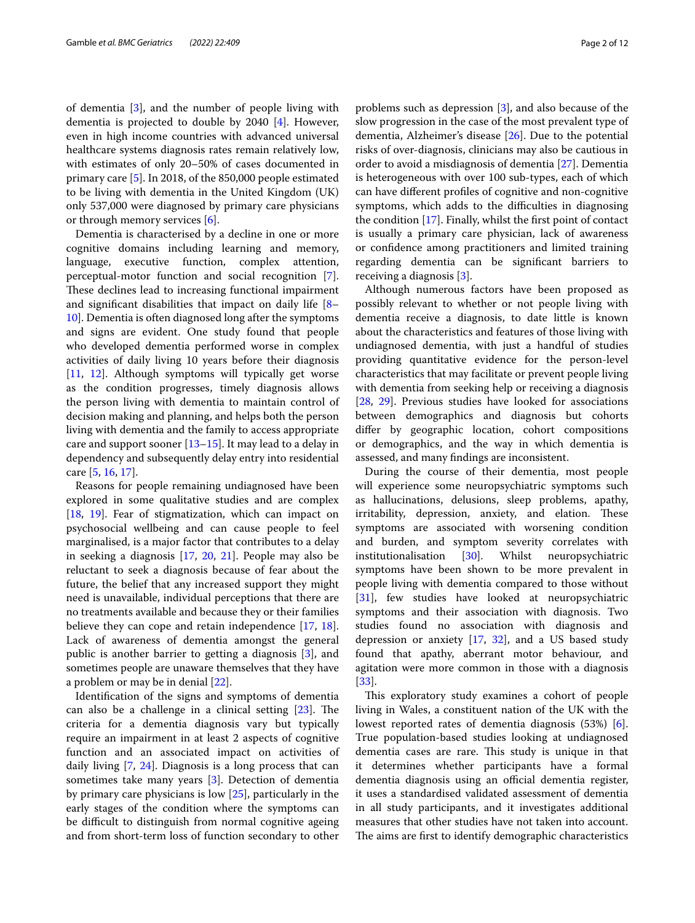of dementia [\[3](#page-10-2)], and the number of people living with dementia is projected to double by 2040 [[4\]](#page-10-3). However, even in high income countries with advanced universal healthcare systems diagnosis rates remain relatively low, with estimates of only 20–50% of cases documented in primary care [\[5](#page-10-4)]. In 2018, of the 850,000 people estimated to be living with dementia in the United Kingdom (UK) only 537,000 were diagnosed by primary care physicians or through memory services [[6\]](#page-10-5).

Dementia is characterised by a decline in one or more cognitive domains including learning and memory, language, executive function, complex attention, perceptual-motor function and social recognition [\[7](#page-10-6)]. These declines lead to increasing functional impairment and signifcant disabilities that impact on daily life [[8–](#page-10-7) [10\]](#page-10-8). Dementia is often diagnosed long after the symptoms and signs are evident. One study found that people who developed dementia performed worse in complex activities of daily living 10 years before their diagnosis [[11,](#page-10-9) [12](#page-10-10)]. Although symptoms will typically get worse as the condition progresses, timely diagnosis allows the person living with dementia to maintain control of decision making and planning, and helps both the person living with dementia and the family to access appropriate care and support sooner  $[13-15]$  $[13-15]$ . It may lead to a delay in dependency and subsequently delay entry into residential care [\[5](#page-10-4), [16,](#page-10-13) [17\]](#page-10-14).

Reasons for people remaining undiagnosed have been explored in some qualitative studies and are complex [[18,](#page-10-15) [19\]](#page-10-16). Fear of stigmatization, which can impact on psychosocial wellbeing and can cause people to feel marginalised, is a major factor that contributes to a delay in seeking a diagnosis [\[17,](#page-10-14) [20,](#page-10-17) [21](#page-10-18)]. People may also be reluctant to seek a diagnosis because of fear about the future, the belief that any increased support they might need is unavailable, individual perceptions that there are no treatments available and because they or their families believe they can cope and retain independence [[17,](#page-10-14) [18](#page-10-15)]. Lack of awareness of dementia amongst the general public is another barrier to getting a diagnosis [\[3](#page-10-2)], and sometimes people are unaware themselves that they have a problem or may be in denial [[22](#page-10-19)].

Identifcation of the signs and symptoms of dementia can also be a challenge in a clinical setting  $[23]$ . The criteria for a dementia diagnosis vary but typically require an impairment in at least 2 aspects of cognitive function and an associated impact on activities of daily living [\[7](#page-10-6), [24\]](#page-10-21). Diagnosis is a long process that can sometimes take many years [\[3](#page-10-2)]. Detection of dementia by primary care physicians is low [\[25\]](#page-10-22), particularly in the early stages of the condition where the symptoms can be difficult to distinguish from normal cognitive ageing and from short-term loss of function secondary to other problems such as depression [\[3](#page-10-2)], and also because of the slow progression in the case of the most prevalent type of dementia, Alzheimer's disease [[26](#page-10-23)]. Due to the potential risks of over-diagnosis, clinicians may also be cautious in order to avoid a misdiagnosis of dementia [[27\]](#page-10-24). Dementia is heterogeneous with over 100 sub-types, each of which can have diferent profles of cognitive and non-cognitive symptoms, which adds to the difficulties in diagnosing the condition [[17\]](#page-10-14). Finally, whilst the frst point of contact is usually a primary care physician, lack of awareness or confdence among practitioners and limited training regarding dementia can be signifcant barriers to receiving a diagnosis [[3\]](#page-10-2).

Although numerous factors have been proposed as possibly relevant to whether or not people living with dementia receive a diagnosis, to date little is known about the characteristics and features of those living with undiagnosed dementia, with just a handful of studies providing quantitative evidence for the person-level characteristics that may facilitate or prevent people living with dementia from seeking help or receiving a diagnosis [[28,](#page-10-25) [29](#page-10-26)]. Previous studies have looked for associations between demographics and diagnosis but cohorts difer by geographic location, cohort compositions or demographics, and the way in which dementia is assessed, and many fndings are inconsistent.

During the course of their dementia, most people will experience some neuropsychiatric symptoms such as hallucinations, delusions, sleep problems, apathy, irritability, depression, anxiety, and elation. These symptoms are associated with worsening condition and burden, and symptom severity correlates with institutionalisation [[30\]](#page-10-27). Whilst neuropsychiatric symptoms have been shown to be more prevalent in people living with dementia compared to those without [[31\]](#page-10-28), few studies have looked at neuropsychiatric symptoms and their association with diagnosis. Two studies found no association with diagnosis and depression or anxiety  $[17, 32]$  $[17, 32]$  $[17, 32]$  $[17, 32]$ , and a US based study found that apathy, aberrant motor behaviour, and agitation were more common in those with a diagnosis  $|33|$ .

This exploratory study examines a cohort of people living in Wales, a constituent nation of the UK with the lowest reported rates of dementia diagnosis (53%) [\[6](#page-10-5)]. True population-based studies looking at undiagnosed dementia cases are rare. This study is unique in that it determines whether participants have a formal dementia diagnosis using an official dementia register, it uses a standardised validated assessment of dementia in all study participants, and it investigates additional measures that other studies have not taken into account. The aims are first to identify demographic characteristics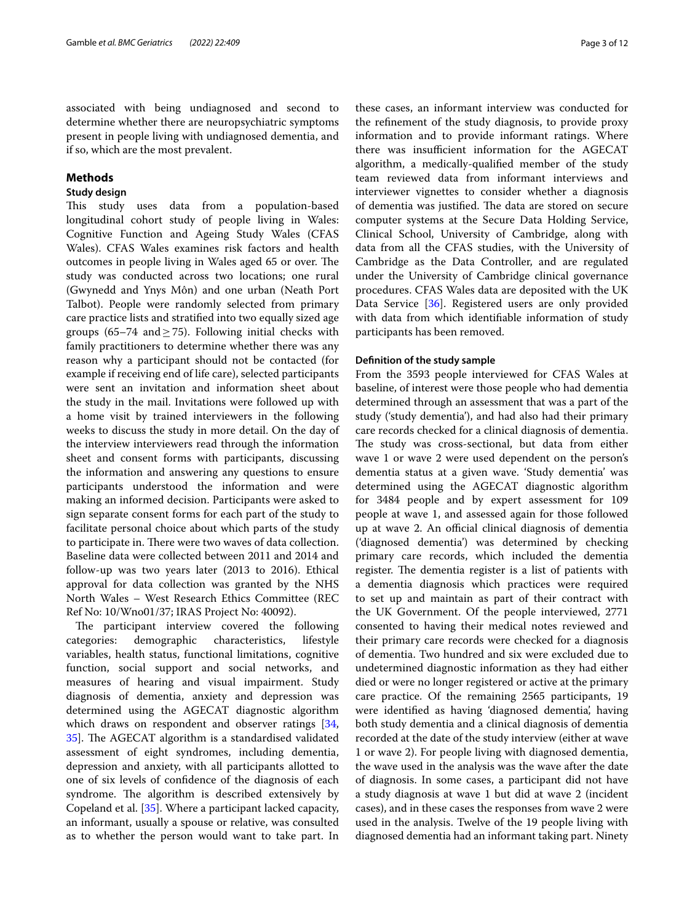associated with being undiagnosed and second to determine whether there are neuropsychiatric symptoms present in people living with undiagnosed dementia, and if so, which are the most prevalent.

#### **Methods**

#### **Study design**

This study uses data from a population-based longitudinal cohort study of people living in Wales: Cognitive Function and Ageing Study Wales (CFAS Wales). CFAS Wales examines risk factors and health outcomes in people living in Wales aged 65 or over. The study was conducted across two locations; one rural (Gwynedd and Ynys Môn) and one urban (Neath Port Talbot). People were randomly selected from primary care practice lists and stratifed into two equally sized age groups (65–74 and  $\geq$  75). Following initial checks with family practitioners to determine whether there was any reason why a participant should not be contacted (for example if receiving end of life care), selected participants were sent an invitation and information sheet about the study in the mail. Invitations were followed up with a home visit by trained interviewers in the following weeks to discuss the study in more detail. On the day of the interview interviewers read through the information sheet and consent forms with participants, discussing the information and answering any questions to ensure participants understood the information and were making an informed decision. Participants were asked to sign separate consent forms for each part of the study to facilitate personal choice about which parts of the study to participate in. There were two waves of data collection. Baseline data were collected between 2011 and 2014 and follow-up was two years later (2013 to 2016). Ethical approval for data collection was granted by the NHS North Wales – West Research Ethics Committee (REC Ref No: 10/Wno01/37; IRAS Project No: 40092).

The participant interview covered the following categories: demographic characteristics, lifestyle variables, health status, functional limitations, cognitive function, social support and social networks, and measures of hearing and visual impairment. Study diagnosis of dementia, anxiety and depression was determined using the AGECAT diagnostic algorithm which draws on respondent and observer ratings [\[34](#page-10-31), [35\]](#page-10-32). The AGECAT algorithm is a standardised validated assessment of eight syndromes, including dementia, depression and anxiety, with all participants allotted to one of six levels of confdence of the diagnosis of each syndrome. The algorithm is described extensively by Copeland et al. [[35\]](#page-10-32). Where a participant lacked capacity, an informant, usually a spouse or relative, was consulted as to whether the person would want to take part. In

these cases, an informant interview was conducted for the refnement of the study diagnosis, to provide proxy information and to provide informant ratings. Where there was insufficient information for the AGECAT algorithm, a medically-qualifed member of the study team reviewed data from informant interviews and interviewer vignettes to consider whether a diagnosis of dementia was justified. The data are stored on secure computer systems at the Secure Data Holding Service, Clinical School, University of Cambridge, along with data from all the CFAS studies, with the University of Cambridge as the Data Controller, and are regulated under the University of Cambridge clinical governance procedures. CFAS Wales data are deposited with the UK Data Service [\[36\]](#page-11-0). Registered users are only provided with data from which identifable information of study participants has been removed.

#### **Defnition of the study sample**

From the 3593 people interviewed for CFAS Wales at baseline, of interest were those people who had dementia determined through an assessment that was a part of the study ('study dementia'), and had also had their primary care records checked for a clinical diagnosis of dementia. The study was cross-sectional, but data from either wave 1 or wave 2 were used dependent on the person's dementia status at a given wave. 'Study dementia' was determined using the AGECAT diagnostic algorithm for 3484 people and by expert assessment for 109 people at wave 1, and assessed again for those followed up at wave 2. An official clinical diagnosis of dementia ('diagnosed dementia') was determined by checking primary care records, which included the dementia register. The dementia register is a list of patients with a dementia diagnosis which practices were required to set up and maintain as part of their contract with the UK Government. Of the people interviewed, 2771 consented to having their medical notes reviewed and their primary care records were checked for a diagnosis of dementia. Two hundred and six were excluded due to undetermined diagnostic information as they had either died or were no longer registered or active at the primary care practice. Of the remaining 2565 participants, 19 were identifed as having 'diagnosed dementia', having both study dementia and a clinical diagnosis of dementia recorded at the date of the study interview (either at wave 1 or wave 2). For people living with diagnosed dementia, the wave used in the analysis was the wave after the date of diagnosis. In some cases, a participant did not have a study diagnosis at wave 1 but did at wave 2 (incident cases), and in these cases the responses from wave 2 were used in the analysis. Twelve of the 19 people living with diagnosed dementia had an informant taking part. Ninety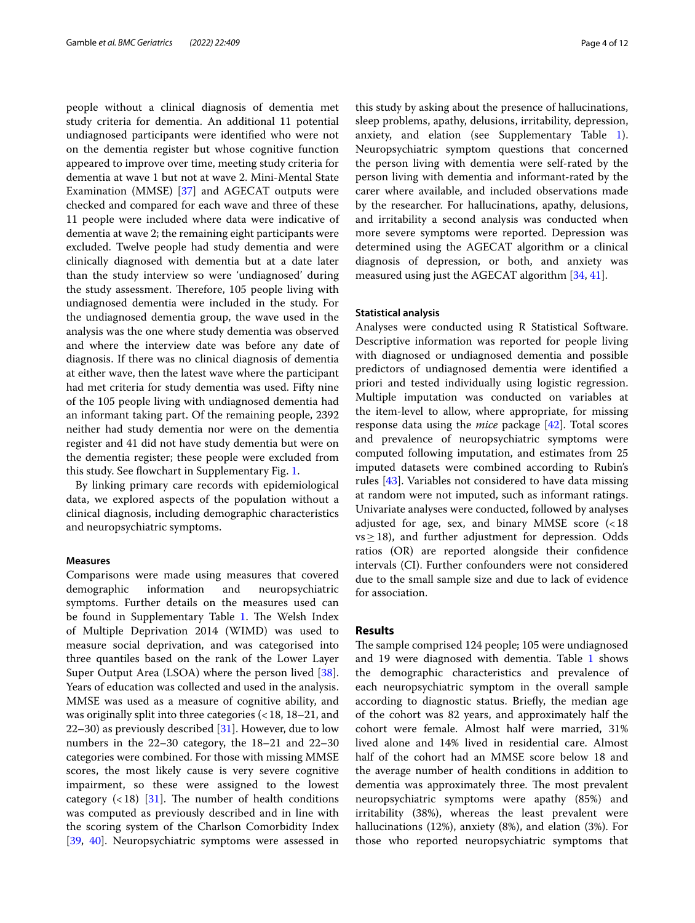people without a clinical diagnosis of dementia met study criteria for dementia. An additional 11 potential undiagnosed participants were identifed who were not on the dementia register but whose cognitive function appeared to improve over time, meeting study criteria for dementia at wave 1 but not at wave 2. Mini-Mental State Examination (MMSE) [\[37](#page-11-1)] and AGECAT outputs were checked and compared for each wave and three of these 11 people were included where data were indicative of dementia at wave 2; the remaining eight participants were excluded. Twelve people had study dementia and were clinically diagnosed with dementia but at a date later than the study interview so were 'undiagnosed' during the study assessment. Therefore, 105 people living with undiagnosed dementia were included in the study. For the undiagnosed dementia group, the wave used in the analysis was the one where study dementia was observed and where the interview date was before any date of diagnosis. If there was no clinical diagnosis of dementia at either wave, then the latest wave where the participant had met criteria for study dementia was used. Fifty nine of the 105 people living with undiagnosed dementia had an informant taking part. Of the remaining people, 2392 neither had study dementia nor were on the dementia register and 41 did not have study dementia but were on the dementia register; these people were excluded from this study. See fowchart in Supplementary Fig. [1.](#page-9-0)

By linking primary care records with epidemiological data, we explored aspects of the population without a clinical diagnosis, including demographic characteristics and neuropsychiatric symptoms.

#### **Measures**

Comparisons were made using measures that covered<br>demographic information and neuropsychiatric demographic information and neuropsychiatric symptoms. Further details on the measures used can be found in Supplementary Table [1.](#page-9-0) The Welsh Index of Multiple Deprivation 2014 (WIMD) was used to measure social deprivation, and was categorised into three quantiles based on the rank of the Lower Layer Super Output Area (LSOA) where the person lived [\[38](#page-11-2)]. Years of education was collected and used in the analysis. MMSE was used as a measure of cognitive ability, and was originally split into three categories (<18, 18–21, and 22–30) as previously described [[31\]](#page-10-28). However, due to low numbers in the 22–30 category, the 18–21 and 22–30 categories were combined. For those with missing MMSE scores, the most likely cause is very severe cognitive impairment, so these were assigned to the lowest category  $\left($  < 18) [\[31\]](#page-10-28). The number of health conditions was computed as previously described and in line with the scoring system of the Charlson Comorbidity Index [[39,](#page-11-3) [40\]](#page-11-4). Neuropsychiatric symptoms were assessed in this study by asking about the presence of hallucinations, sleep problems, apathy, delusions, irritability, depression, anxiety, and elation (see Supplementary Table [1](#page-9-0)). Neuropsychiatric symptom questions that concerned the person living with dementia were self-rated by the person living with dementia and informant-rated by the carer where available, and included observations made by the researcher. For hallucinations, apathy, delusions, and irritability a second analysis was conducted when more severe symptoms were reported. Depression was determined using the AGECAT algorithm or a clinical diagnosis of depression, or both, and anxiety was measured using just the AGECAT algorithm [\[34](#page-10-31), [41\]](#page-11-5).

#### **Statistical analysis**

Analyses were conducted using R Statistical Software. Descriptive information was reported for people living with diagnosed or undiagnosed dementia and possible predictors of undiagnosed dementia were identifed a priori and tested individually using logistic regression. Multiple imputation was conducted on variables at the item-level to allow, where appropriate, for missing response data using the *mice* package [[42\]](#page-11-6). Total scores and prevalence of neuropsychiatric symptoms were computed following imputation, and estimates from 25 imputed datasets were combined according to Rubin's rules [[43\]](#page-11-7). Variables not considered to have data missing at random were not imputed, such as informant ratings. Univariate analyses were conducted, followed by analyses adjusted for age, sex, and binary MMSE score  $\ll 18$  $vs \geq 18$ ), and further adjustment for depression. Odds ratios (OR) are reported alongside their confdence intervals (CI). Further confounders were not considered due to the small sample size and due to lack of evidence for association.

#### **Results**

The sample comprised 124 people; 105 were undiagnosed and 19 were diagnosed with dementia. Table [1](#page-4-0) shows the demographic characteristics and prevalence of each neuropsychiatric symptom in the overall sample according to diagnostic status. Briefy, the median age of the cohort was 82 years, and approximately half the cohort were female. Almost half were married, 31% lived alone and 14% lived in residential care. Almost half of the cohort had an MMSE score below 18 and the average number of health conditions in addition to dementia was approximately three. The most prevalent neuropsychiatric symptoms were apathy (85%) and irritability (38%), whereas the least prevalent were hallucinations (12%), anxiety (8%), and elation (3%). For those who reported neuropsychiatric symptoms that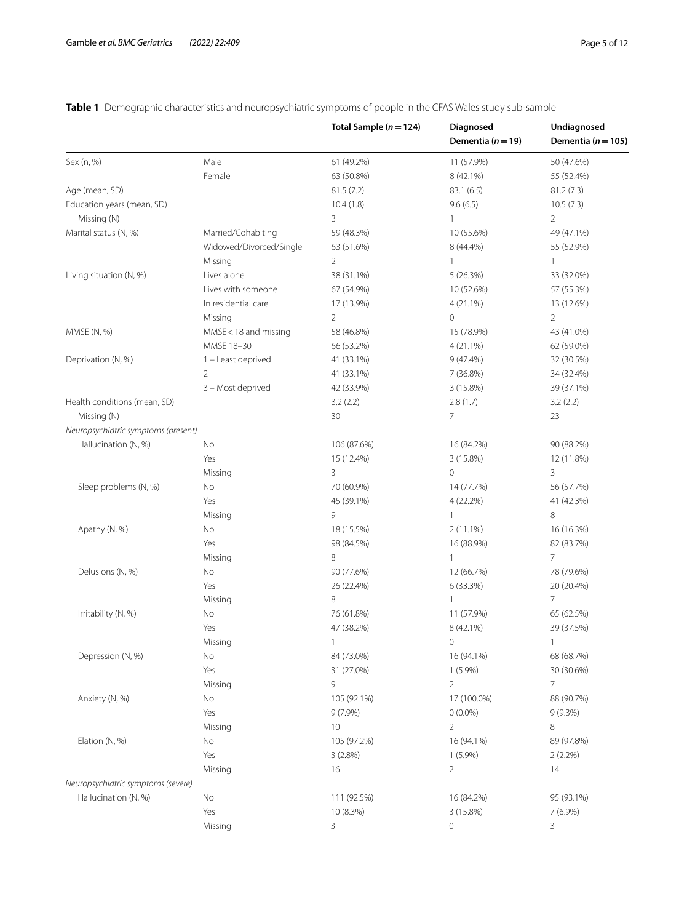|                                     |                         | Total Sample ( $n = 124$ ) | Diagnosed             | Undiagnosed            |
|-------------------------------------|-------------------------|----------------------------|-----------------------|------------------------|
|                                     |                         |                            | Dementia ( $n = 19$ ) | Dementia ( $n = 105$ ) |
| Sex (n, %)                          | Male                    | 61 (49.2%)                 | 11 (57.9%)            | 50 (47.6%)             |
|                                     | Female                  | 63 (50.8%)                 | 8 (42.1%)             | 55 (52.4%)             |
| Age (mean, SD)                      |                         | 81.5(7.2)                  | 83.1 (6.5)            | 81.2(7.3)              |
| Education years (mean, SD)          |                         | 10.4(1.8)                  | 9.6(6.5)              | 10.5(7.3)              |
| Missing (N)                         |                         | 3                          | $\mathbf{1}$          | $\overline{2}$         |
| Marital status (N, %)               | Married/Cohabiting      | 59 (48.3%)                 | 10 (55.6%)            | 49 (47.1%)             |
|                                     | Widowed/Divorced/Single | 63 (51.6%)                 | 8 (44.4%)             | 55 (52.9%)             |
|                                     | Missing                 | $\overline{2}$             | $\mathbf{1}$          | 1                      |
| Living situation (N, %)             | Lives alone             | 38 (31.1%)                 | 5(26.3%)              | 33 (32.0%)             |
|                                     | Lives with someone      | 67 (54.9%)                 | 10 (52.6%)            | 57 (55.3%)             |
|                                     | In residential care     | 17 (13.9%)                 | 4 (21.1%)             | 13 (12.6%)             |
|                                     | Missing                 | $\overline{2}$             | $\circ$               | $\overline{2}$         |
| MMSE (N, %)                         | MMSE < 18 and missing   | 58 (46.8%)                 | 15 (78.9%)            | 43 (41.0%)             |
|                                     | MMSE 18-30              | 66 (53.2%)                 | 4 (21.1%)             | 62 (59.0%)             |
| Deprivation (N, %)                  | 1 - Least deprived      | 41 (33.1%)                 | $9(47.4\%)$           | 32 (30.5%)             |
|                                     | $\overline{2}$          | 41 (33.1%)                 | 7 (36.8%)             | 34 (32.4%)             |
|                                     | 3 - Most deprived       | 42 (33.9%)                 | 3(15.8%)              | 39 (37.1%)             |
| Health conditions (mean, SD)        |                         | 3.2(2.2)                   | 2.8(1.7)              | 3.2(2.2)               |
| Missing (N)                         |                         | 30                         | $\overline{7}$        | 23                     |
|                                     |                         |                            |                       |                        |
| Neuropsychiatric symptoms (present) |                         |                            |                       |                        |
| Hallucination (N, %)                | No                      | 106 (87.6%)                | 16 (84.2%)            | 90 (88.2%)             |
|                                     | Yes                     | 15 (12.4%)                 | 3 (15.8%)             | 12 (11.8%)             |
|                                     | Missing                 | 3                          | $\circ$               | 3                      |
| Sleep problems (N, %)               | No                      | 70 (60.9%)                 | 14 (77.7%)            | 56 (57.7%)             |
|                                     | Yes                     | 45 (39.1%)                 | 4 (22.2%)             | 41 (42.3%)             |
|                                     | Missing                 | 9                          | $\mathbf{1}$          | 8                      |
| Apathy (N, %)                       | No                      | 18 (15.5%)                 | $2(11.1\%)$           | 16 (16.3%)             |
|                                     | Yes                     | 98 (84.5%)                 | 16 (88.9%)            | 82 (83.7%)             |
|                                     | Missing                 | 8                          | $\mathbf{1}$          | $\overline{7}$         |
| Delusions (N, %)                    | No                      | 90 (77.6%)                 | 12 (66.7%)            | 78 (79.6%)             |
|                                     | Yes                     | 26 (22.4%)                 | 6 (33.3%)             | 20 (20.4%)             |
|                                     | Missing                 | 8                          | $\mathbf{1}$          | $\overline{7}$         |
| Irritability (N, %)                 | No                      | 76 (61.8%)                 | 11 (57.9%)            | 65 (62.5%)             |
|                                     | Yes                     | 47 (38.2%)                 | 8 (42.1%)             | 39 (37.5%)             |
|                                     | Missing                 | $\mathbf{1}$               | 0                     | 1                      |
| Depression (N, %)                   | No                      | 84 (73.0%)                 | 16 (94.1%)            | 68 (68.7%)             |
|                                     | Yes                     | 31 (27.0%)                 | $1(5.9\%)$            | 30 (30.6%)             |
|                                     | Missing                 | 9                          | $\overline{2}$        | $\overline{7}$         |
| Anxiety (N, %)                      | No                      | 105 (92.1%)                | 17 (100.0%)           | 88 (90.7%)             |
|                                     | Yes                     | 9 (7.9%)                   | $0(0.0\%)$            | $9(9.3\%)$             |
|                                     | Missing                 | 10                         | $\overline{2}$        | 8                      |
| Elation (N, %)                      | No                      | 105 (97.2%)                | 16 (94.1%)            | 89 (97.8%)             |
|                                     | Yes                     | 3 (2.8%)                   | $1(5.9\%)$            | $2(2.2\%)$             |
|                                     | Missing                 | 16                         | $\overline{2}$        | 14                     |
| Neuropsychiatric symptoms (severe)  |                         |                            |                       |                        |
| Hallucination (N, %)                | No                      | 111 (92.5%)                | 16 (84.2%)            | 95 (93.1%)             |
|                                     | Yes                     | 10 (8.3%)                  | 3 (15.8%)             | 7 (6.9%)               |
|                                     | Missing                 | 3                          | 0                     | 3                      |

## <span id="page-4-0"></span>**Table 1** Demographic characteristics and neuropsychiatric symptoms of people in the CFAS Wales study sub-sample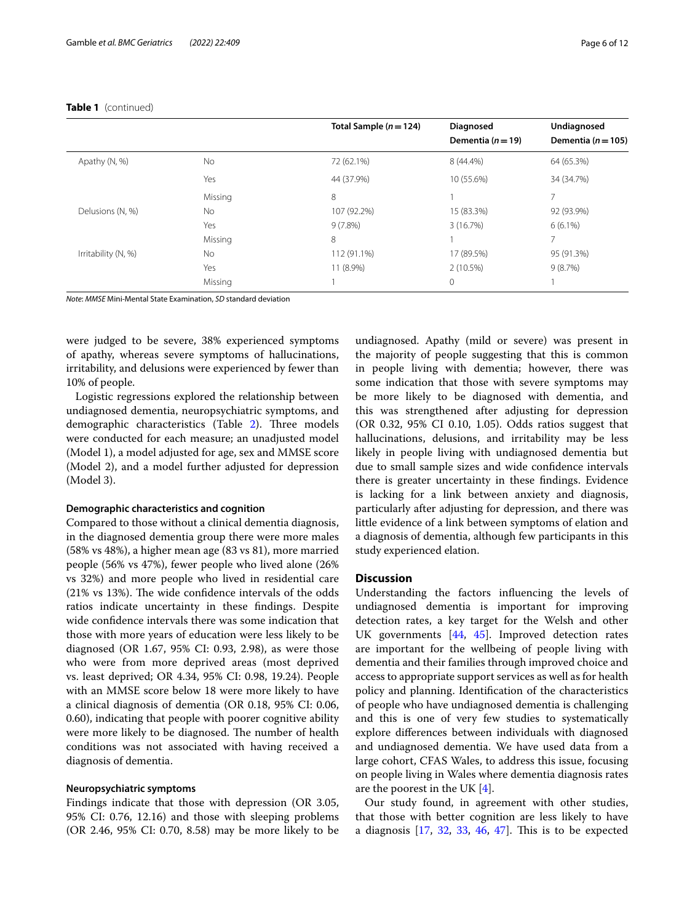|                     |         | Total Sample $(n=124)$ | Diagnosed<br>Dementia ( $n = 19$ ) | Undiagnosed<br>Dementia ( $n = 105$ ) |
|---------------------|---------|------------------------|------------------------------------|---------------------------------------|
| Apathy (N, %)       | No      | 72 (62.1%)             | 8 (44.4%)                          | 64 (65.3%)                            |
|                     | Yes     | 44 (37.9%)             | 10 (55.6%)                         | 34 (34.7%)                            |
|                     | Missing | 8                      |                                    |                                       |
| Delusions (N, %)    | No.     | 107 (92.2%)            | 15 (83.3%)                         | 92 (93.9%)                            |
|                     | Yes     | 9(7.8%)                | 3(16.7%)                           | $6(6.1\%)$                            |
|                     | Missing | 8                      |                                    |                                       |
| Irritability (N, %) | No      | 112 (91.1%)            | 17 (89.5%)                         | 95 (91.3%)                            |
|                     | Yes     | 11 (8.9%)              | 2(10.5%)                           | 9(8.7%)                               |
|                     | Missing |                        | $\Omega$                           |                                       |

#### **Table 1** (continued)

*Note*: *MMSE* Mini-Mental State Examination, *SD* standard deviation

were judged to be severe, 38% experienced symptoms of apathy, whereas severe symptoms of hallucinations, irritability, and delusions were experienced by fewer than 10% of people.

Logistic regressions explored the relationship between undiagnosed dementia, neuropsychiatric symptoms, and demographic characteristics (Table [2](#page-6-0)). Three models were conducted for each measure; an unadjusted model (Model 1), a model adjusted for age, sex and MMSE score (Model 2), and a model further adjusted for depression (Model 3).

#### **Demographic characteristics and cognition**

Compared to those without a clinical dementia diagnosis, in the diagnosed dementia group there were more males (58% vs 48%), a higher mean age (83 vs 81), more married people (56% vs 47%), fewer people who lived alone (26% vs 32%) and more people who lived in residential care  $(21\% \text{ vs } 13\%).$  The wide confidence intervals of the odds ratios indicate uncertainty in these fndings. Despite wide confdence intervals there was some indication that those with more years of education were less likely to be diagnosed (OR 1.67, 95% CI: 0.93, 2.98), as were those who were from more deprived areas (most deprived vs. least deprived; OR 4.34, 95% CI: 0.98, 19.24). People with an MMSE score below 18 were more likely to have a clinical diagnosis of dementia (OR 0.18, 95% CI: 0.06, 0.60), indicating that people with poorer cognitive ability were more likely to be diagnosed. The number of health conditions was not associated with having received a diagnosis of dementia.

#### **Neuropsychiatric symptoms**

Findings indicate that those with depression (OR 3.05, 95% CI: 0.76, 12.16) and those with sleeping problems (OR 2.46, 95% CI: 0.70, 8.58) may be more likely to be

undiagnosed. Apathy (mild or severe) was present in the majority of people suggesting that this is common in people living with dementia; however, there was some indication that those with severe symptoms may be more likely to be diagnosed with dementia, and this was strengthened after adjusting for depression (OR 0.32, 95% CI 0.10, 1.05). Odds ratios suggest that hallucinations, delusions, and irritability may be less likely in people living with undiagnosed dementia but due to small sample sizes and wide confdence intervals there is greater uncertainty in these fndings. Evidence is lacking for a link between anxiety and diagnosis, particularly after adjusting for depression, and there was little evidence of a link between symptoms of elation and a diagnosis of dementia, although few participants in this study experienced elation.

#### **Discussion**

Understanding the factors infuencing the levels of undiagnosed dementia is important for improving detection rates, a key target for the Welsh and other UK governments [[44,](#page-11-8) [45](#page-11-9)]. Improved detection rates are important for the wellbeing of people living with dementia and their families through improved choice and access to appropriate support services as well as for health policy and planning. Identifcation of the characteristics of people who have undiagnosed dementia is challenging and this is one of very few studies to systematically explore diferences between individuals with diagnosed and undiagnosed dementia. We have used data from a large cohort, CFAS Wales, to address this issue, focusing on people living in Wales where dementia diagnosis rates are the poorest in the UK [\[4](#page-10-3)].

Our study found, in agreement with other studies, that those with better cognition are less likely to have a diagnosis  $[17, 32, 33, 46, 47]$  $[17, 32, 33, 46, 47]$  $[17, 32, 33, 46, 47]$  $[17, 32, 33, 46, 47]$  $[17, 32, 33, 46, 47]$  $[17, 32, 33, 46, 47]$  $[17, 32, 33, 46, 47]$  $[17, 32, 33, 46, 47]$  $[17, 32, 33, 46, 47]$  $[17, 32, 33, 46, 47]$ . This is to be expected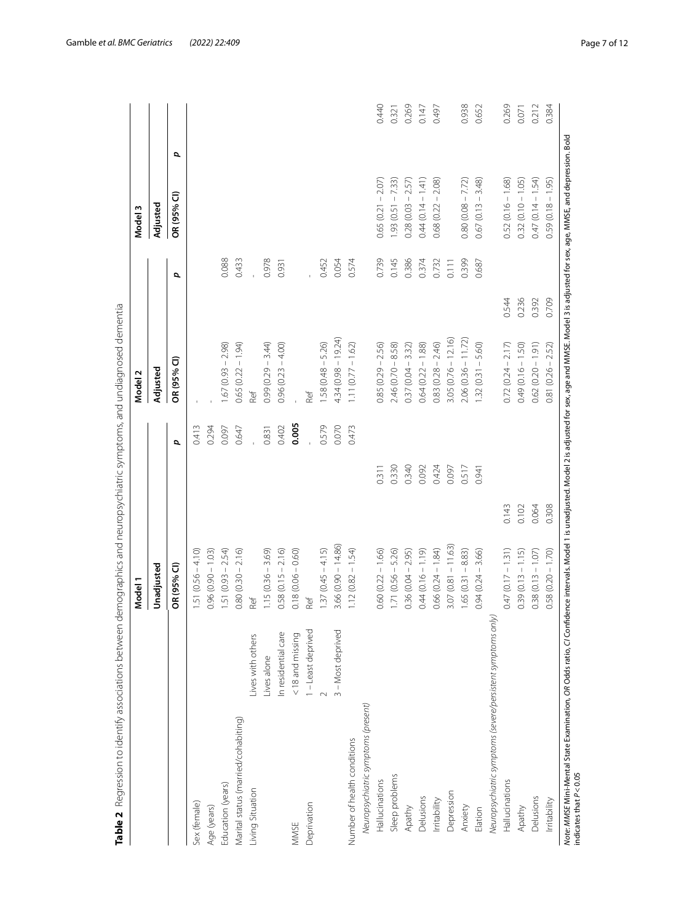|                                                             |                     | Model 1              |       |       | Model 2                                       |       |       | Model 3                             |       |
|-------------------------------------------------------------|---------------------|----------------------|-------|-------|-----------------------------------------------|-------|-------|-------------------------------------|-------|
|                                                             |                     | Unadjusted           |       |       | Adjusted                                      |       |       | Adjusted                            |       |
|                                                             |                     | OR (95% CI)          |       | p     | OR (95% CI)                                   | p     |       | OR (95% CI)                         | σ     |
| Sex (female)                                                |                     | $1.51(0.56 - 4.10)$  |       | 0.413 |                                               |       |       |                                     |       |
| Age (years)                                                 |                     | $0.96(0.90 - 1.03)$  |       | 0.294 |                                               |       |       |                                     |       |
| Education (years)                                           |                     | $1.51(0.93 - 2.54)$  |       | 0.097 | $1.67(0.93 - 2.98)$                           |       | 0.088 |                                     |       |
| Marital status (married/cohabiting)                         |                     | $0.80(0.30 - 2.16)$  |       | 0.647 | $0.65(0.22 - 1.94)$                           |       | 0.433 |                                     |       |
| Living Situation                                            | Lives with others   | Ref                  |       |       | Ref                                           |       |       |                                     |       |
|                                                             | Lives alone         | $1.15(0.36 - 3.69)$  |       | 0.831 | $0.99(0.29 - 3.44)$                           |       | 0.978 |                                     |       |
|                                                             | In residential care | $0.58(0.15 - 2.16)$  |       | 0.402 | $0.96(0.23 - 4.00)$                           |       | 0.931 |                                     |       |
| MMSE                                                        | <18 and missing     | $0.18(0.06 - 0.60)$  |       | 0.005 |                                               |       |       |                                     |       |
| Deprivation                                                 | 1 - Least deprived  | Ref                  |       |       | Ref                                           |       |       |                                     |       |
|                                                             |                     | $1.37(0.45 - 4.15)$  |       | 0.579 | $1.58(0.48 - 5.26)$                           |       | 0.452 |                                     |       |
|                                                             | 3 - Most deprived   | $3.66(0.90 - 14.86)$ |       | 0.070 | $4.34(0.98 - 19.24)$                          |       | 0.054 |                                     |       |
| Number of health conditions                                 |                     | $1.12(0.82 - 1.54)$  |       | 0.473 | $-1.62$<br>1.11 (0.77)                        |       | 0.574 |                                     |       |
| Neuropsychiatric symptoms (present)                         |                     |                      |       |       |                                               |       |       |                                     |       |
| Hallucinations                                              |                     | $0.60(0.22 - 1.66)$  | 0.311 |       | $-2.56$<br>0.85 (0.29                         |       | 0.739 | $-2.07$<br>0.65 (0.21               | 0.440 |
| Sleep problems                                              |                     | $1.71(0.56 - 5.26)$  | 0.330 |       | 8.58)<br>$2.46(0.70 -$                        |       | 0.145 | 7.33)<br>$\mathbb{I}$<br>1.93 (0.51 | 0.321 |
| Apathy                                                      |                     | $0.36(0.04 - 2.95)$  | 0.340 |       | 3.32)<br>$\mathord{\mathbb{I}}$<br>0.37 (0.04 |       | 0.386 | 2.57)<br>$\mathsf I$<br>0.28 (0.03  | 0.269 |
| Delusions                                                   |                     | $0.44(0.16 - 1.19)$  | 0.092 |       | 1.88)<br>$0.64(0.22 -$                        |       | 0.374 | (141)<br>$\,$ $\,$<br>0.44 (0.14    | 0.147 |
| Irritability                                                |                     | $0.66(0.24 - 1.84)$  | 0.424 |       | 2.46)<br>0.83 (0.28)                          |       | 0.732 | 2.08)<br>$\mathbb T$<br>0.68 (0.22  | 0.497 |
| Depression                                                  |                     | $3.07(0.81 - 11.63)$ | 0.097 |       | $3.05(0.76 - 12.16)$                          |       | 0.111 |                                     |       |
| Anxiety                                                     |                     | $1.65(0.31 - 8.83)$  | 0.517 |       | $2.06(0.36 - 11.72)$                          |       | 0.399 | $0.80(0.08 - 7.72)$                 | 0.938 |
| Elation                                                     |                     | $0.94(0.24 - 3.66)$  | 0.941 |       | 5.60)<br>$\mathbb T$<br>1.32 (0.31            |       | 0.687 | 3.48)<br>$\mathsf I$<br>0.67(0.13   | 0.652 |
| Neuropsychiatric symptoms (severe/persistent symptoms only) |                     |                      |       |       |                                               |       |       |                                     |       |
| Hallucinations                                              |                     | $0.47(0.17 - 1.31)$  | 0.143 |       | $0.72(0.24 - 2.17)$                           | 0.544 |       | $0.52(0.16 - 1.68)$                 | 0.269 |
| Apathy                                                      |                     | $0.39(0.13 - 1.15)$  | 0.102 |       | 1.50)<br>$0.49(0.16 -$                        | 0.236 |       | $0.32(0.10 - 1.05)$                 | 0.071 |
| Delusions                                                   |                     | $0.38(0.13 - 1.07)$  | 0.064 |       | (1.91)<br>$0.62(0.20 -$                       | 0.392 |       | 1.54)<br>$\mathsf I$<br>0.47 (0.14  | 0.212 |
| Irritability                                                |                     | $0.58(0.20 - 1.70)$  | 0.308 |       | $0.81(0.26 - 2.52)$                           | 0.709 |       | $0.59(0.18 - 1.95)$                 | 0.384 |

<span id="page-6-0"></span>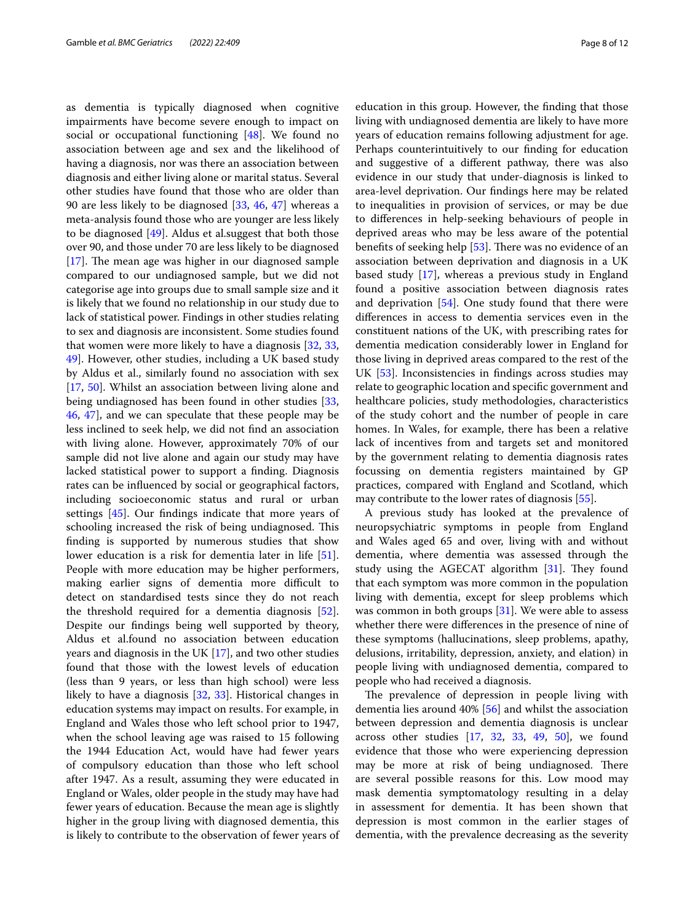as dementia is typically diagnosed when cognitive impairments have become severe enough to impact on social or occupational functioning [\[48\]](#page-11-12). We found no association between age and sex and the likelihood of having a diagnosis, nor was there an association between diagnosis and either living alone or marital status. Several other studies have found that those who are older than 90 are less likely to be diagnosed [[33,](#page-10-30) [46](#page-11-10), [47\]](#page-11-11) whereas a meta-analysis found those who are younger are less likely to be diagnosed [[49\]](#page-11-13). Aldus et al.suggest that both those over 90, and those under 70 are less likely to be diagnosed  $[17]$  $[17]$ . The mean age was higher in our diagnosed sample compared to our undiagnosed sample, but we did not categorise age into groups due to small sample size and it is likely that we found no relationship in our study due to lack of statistical power. Findings in other studies relating to sex and diagnosis are inconsistent. Some studies found that women were more likely to have a diagnosis [[32](#page-10-29), [33](#page-10-30), [49\]](#page-11-13). However, other studies, including a UK based study by Aldus et al., similarly found no association with sex [[17,](#page-10-14) [50](#page-11-14)]. Whilst an association between living alone and being undiagnosed has been found in other studies [\[33](#page-10-30), [46,](#page-11-10) [47](#page-11-11)], and we can speculate that these people may be less inclined to seek help, we did not fnd an association with living alone. However, approximately 70% of our sample did not live alone and again our study may have lacked statistical power to support a fnding. Diagnosis rates can be infuenced by social or geographical factors, including socioeconomic status and rural or urban settings [[45\]](#page-11-9). Our fndings indicate that more years of schooling increased the risk of being undiagnosed. This fnding is supported by numerous studies that show lower education is a risk for dementia later in life [\[51](#page-11-15)]. People with more education may be higher performers, making earlier signs of dementia more difficult to detect on standardised tests since they do not reach the threshold required for a dementia diagnosis [\[52](#page-11-16)]. Despite our fndings being well supported by theory, Aldus et al.found no association between education years and diagnosis in the UK [\[17](#page-10-14)], and two other studies found that those with the lowest levels of education (less than 9 years, or less than high school) were less likely to have a diagnosis [\[32](#page-10-29), [33\]](#page-10-30). Historical changes in education systems may impact on results. For example, in England and Wales those who left school prior to 1947, when the school leaving age was raised to 15 following the 1944 Education Act, would have had fewer years of compulsory education than those who left school after 1947. As a result, assuming they were educated in England or Wales, older people in the study may have had fewer years of education. Because the mean age is slightly higher in the group living with diagnosed dementia, this is likely to contribute to the observation of fewer years of

education in this group. However, the fnding that those living with undiagnosed dementia are likely to have more years of education remains following adjustment for age. Perhaps counterintuitively to our fnding for education and suggestive of a diferent pathway, there was also evidence in our study that under-diagnosis is linked to area-level deprivation. Our fndings here may be related to inequalities in provision of services, or may be due to diferences in help-seeking behaviours of people in deprived areas who may be less aware of the potential benefits of seeking help [[53\]](#page-11-17). There was no evidence of an association between deprivation and diagnosis in a UK based study [[17\]](#page-10-14), whereas a previous study in England found a positive association between diagnosis rates and deprivation [\[54](#page-11-18)]. One study found that there were diferences in access to dementia services even in the constituent nations of the UK, with prescribing rates for dementia medication considerably lower in England for those living in deprived areas compared to the rest of the UK [[53](#page-11-17)]. Inconsistencies in fndings across studies may relate to geographic location and specifc government and healthcare policies, study methodologies, characteristics of the study cohort and the number of people in care homes. In Wales, for example, there has been a relative lack of incentives from and targets set and monitored by the government relating to dementia diagnosis rates focussing on dementia registers maintained by GP practices, compared with England and Scotland, which may contribute to the lower rates of diagnosis [\[55](#page-11-19)].

A previous study has looked at the prevalence of neuropsychiatric symptoms in people from England and Wales aged 65 and over, living with and without dementia, where dementia was assessed through the study using the AGECAT algorithm  $[31]$  $[31]$ . They found that each symptom was more common in the population living with dementia, except for sleep problems which was common in both groups [[31\]](#page-10-28). We were able to assess whether there were diferences in the presence of nine of these symptoms (hallucinations, sleep problems, apathy, delusions, irritability, depression, anxiety, and elation) in people living with undiagnosed dementia, compared to people who had received a diagnosis.

The prevalence of depression in people living with dementia lies around 40% [\[56](#page-11-20)] and whilst the association between depression and dementia diagnosis is unclear across other studies  $[17, 32, 33, 49, 50]$  $[17, 32, 33, 49, 50]$  $[17, 32, 33, 49, 50]$  $[17, 32, 33, 49, 50]$  $[17, 32, 33, 49, 50]$  $[17, 32, 33, 49, 50]$  $[17, 32, 33, 49, 50]$  $[17, 32, 33, 49, 50]$  $[17, 32, 33, 49, 50]$  $[17, 32, 33, 49, 50]$ , we found evidence that those who were experiencing depression may be more at risk of being undiagnosed. There are several possible reasons for this. Low mood may mask dementia symptomatology resulting in a delay in assessment for dementia. It has been shown that depression is most common in the earlier stages of dementia, with the prevalence decreasing as the severity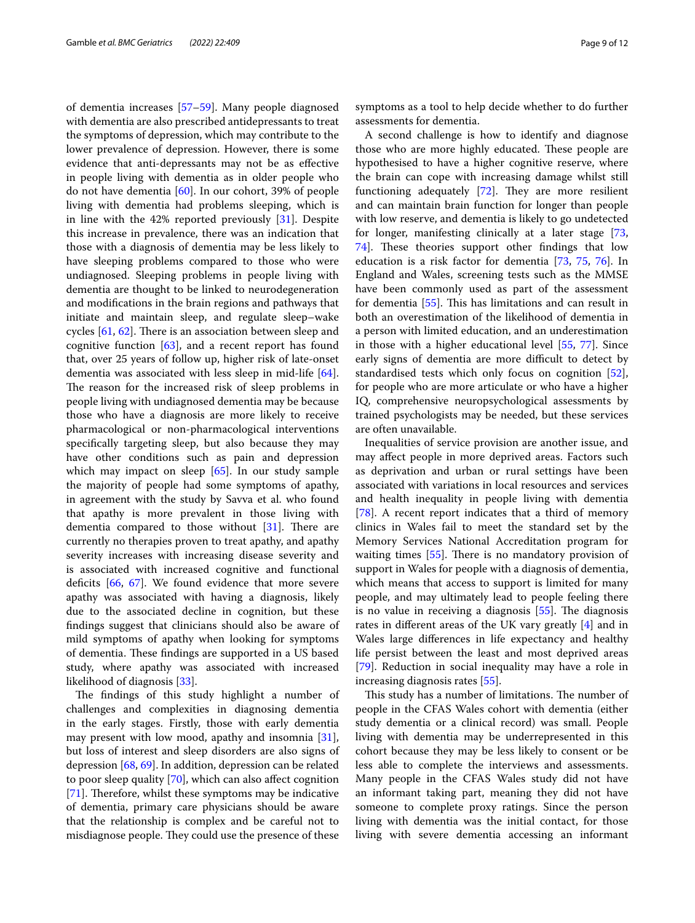of dementia increases [\[57](#page-11-21)[–59\]](#page-11-22). Many people diagnosed with dementia are also prescribed antidepressants to treat the symptoms of depression, which may contribute to the lower prevalence of depression. However, there is some evidence that anti-depressants may not be as efective in people living with dementia as in older people who do not have dementia [[60\]](#page-11-23). In our cohort, 39% of people living with dementia had problems sleeping, which is in line with the 42% reported previously [[31\]](#page-10-28). Despite this increase in prevalence, there was an indication that those with a diagnosis of dementia may be less likely to have sleeping problems compared to those who were undiagnosed. Sleeping problems in people living with dementia are thought to be linked to neurodegeneration and modifcations in the brain regions and pathways that initiate and maintain sleep, and regulate sleep–wake cycles  $[61, 62]$  $[61, 62]$  $[61, 62]$  $[61, 62]$  $[61, 62]$ . There is an association between sleep and cognitive function  $[63]$  $[63]$  $[63]$ , and a recent report has found that, over 25 years of follow up, higher risk of late-onset dementia was associated with less sleep in mid-life [\[64](#page-11-27)]. The reason for the increased risk of sleep problems in people living with undiagnosed dementia may be because those who have a diagnosis are more likely to receive pharmacological or non-pharmacological interventions specifcally targeting sleep, but also because they may have other conditions such as pain and depression which may impact on sleep [[65](#page-11-28)]. In our study sample the majority of people had some symptoms of apathy, in agreement with the study by Savva et al. who found that apathy is more prevalent in those living with dementia compared to those without  $[31]$  $[31]$ . There are currently no therapies proven to treat apathy, and apathy severity increases with increasing disease severity and is associated with increased cognitive and functional deficits  $[66, 67]$  $[66, 67]$  $[66, 67]$  $[66, 67]$  $[66, 67]$ . We found evidence that more severe apathy was associated with having a diagnosis, likely due to the associated decline in cognition, but these fndings suggest that clinicians should also be aware of mild symptoms of apathy when looking for symptoms of dementia. These findings are supported in a US based study, where apathy was associated with increased likelihood of diagnosis [[33\]](#page-10-30).

The findings of this study highlight a number of challenges and complexities in diagnosing dementia in the early stages. Firstly, those with early dementia may present with low mood, apathy and insomnia [\[31](#page-10-28)], but loss of interest and sleep disorders are also signs of depression [\[68](#page-11-31), [69](#page-11-32)]. In addition, depression can be related to poor sleep quality [\[70](#page-11-33)], which can also afect cognition [[71\]](#page-11-34). Therefore, whilst these symptoms may be indicative of dementia, primary care physicians should be aware that the relationship is complex and be careful not to misdiagnose people. They could use the presence of these

symptoms as a tool to help decide whether to do further assessments for dementia.

A second challenge is how to identify and diagnose those who are more highly educated. These people are hypothesised to have a higher cognitive reserve, where the brain can cope with increasing damage whilst still functioning adequately  $[72]$  $[72]$ . They are more resilient and can maintain brain function for longer than people with low reserve, and dementia is likely to go undetected for longer, manifesting clinically at a later stage [[73](#page-11-36), [74\]](#page-11-37). These theories support other findings that low education is a risk factor for dementia [[73,](#page-11-36) [75,](#page-11-38) [76](#page-11-39)]. In England and Wales, screening tests such as the MMSE have been commonly used as part of the assessment for dementia [\[55](#page-11-19)]. This has limitations and can result in both an overestimation of the likelihood of dementia in a person with limited education, and an underestimation in those with a higher educational level [\[55](#page-11-19), [77](#page-11-40)]. Since early signs of dementia are more difficult to detect by standardised tests which only focus on cognition [\[52](#page-11-16)], for people who are more articulate or who have a higher IQ, comprehensive neuropsychological assessments by trained psychologists may be needed, but these services are often unavailable.

Inequalities of service provision are another issue, and may afect people in more deprived areas. Factors such as deprivation and urban or rural settings have been associated with variations in local resources and services and health inequality in people living with dementia [[78\]](#page-11-41). A recent report indicates that a third of memory clinics in Wales fail to meet the standard set by the Memory Services National Accreditation program for waiting times  $[55]$  $[55]$ . There is no mandatory provision of support in Wales for people with a diagnosis of dementia, which means that access to support is limited for many people, and may ultimately lead to people feeling there is no value in receiving a diagnosis  $[55]$  $[55]$ . The diagnosis rates in diferent areas of the UK vary greatly [[4\]](#page-10-3) and in Wales large diferences in life expectancy and healthy life persist between the least and most deprived areas [[79\]](#page-11-42). Reduction in social inequality may have a role in increasing diagnosis rates [[55](#page-11-19)].

This study has a number of limitations. The number of people in the CFAS Wales cohort with dementia (either study dementia or a clinical record) was small. People living with dementia may be underrepresented in this cohort because they may be less likely to consent or be less able to complete the interviews and assessments. Many people in the CFAS Wales study did not have an informant taking part, meaning they did not have someone to complete proxy ratings. Since the person living with dementia was the initial contact, for those living with severe dementia accessing an informant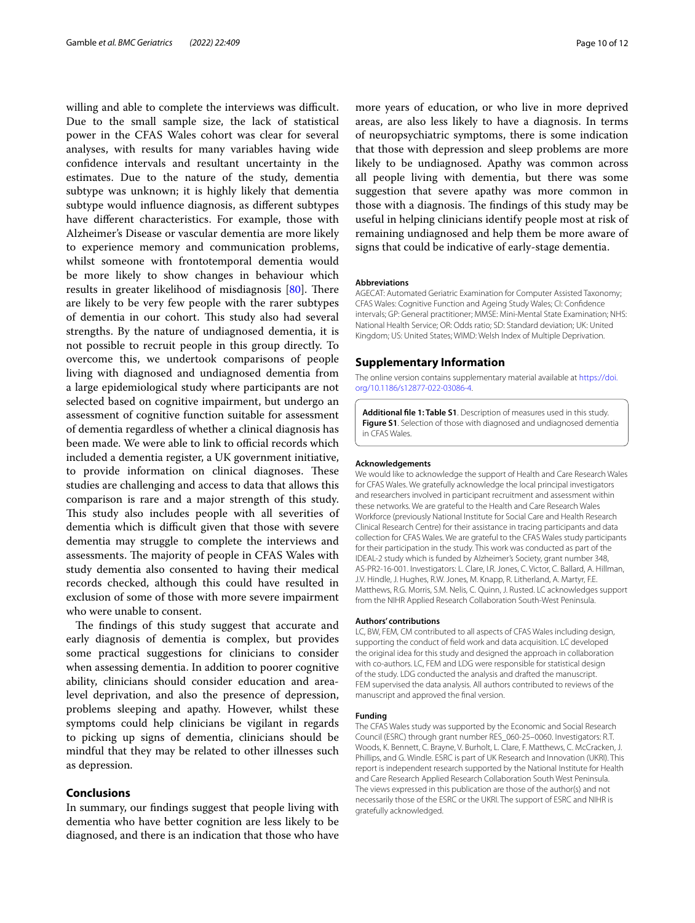willing and able to complete the interviews was difficult. Due to the small sample size, the lack of statistical power in the CFAS Wales cohort was clear for several analyses, with results for many variables having wide confdence intervals and resultant uncertainty in the estimates. Due to the nature of the study, dementia subtype was unknown; it is highly likely that dementia subtype would infuence diagnosis, as diferent subtypes have diferent characteristics. For example, those with Alzheimer's Disease or vascular dementia are more likely to experience memory and communication problems, whilst someone with frontotemporal dementia would be more likely to show changes in behaviour which results in greater likelihood of misdiagnosis [\[80\]](#page-11-43). There are likely to be very few people with the rarer subtypes of dementia in our cohort. This study also had several strengths. By the nature of undiagnosed dementia, it is not possible to recruit people in this group directly. To overcome this, we undertook comparisons of people living with diagnosed and undiagnosed dementia from a large epidemiological study where participants are not selected based on cognitive impairment, but undergo an assessment of cognitive function suitable for assessment of dementia regardless of whether a clinical diagnosis has been made. We were able to link to official records which included a dementia register, a UK government initiative, to provide information on clinical diagnoses. These studies are challenging and access to data that allows this comparison is rare and a major strength of this study. This study also includes people with all severities of dementia which is difficult given that those with severe dementia may struggle to complete the interviews and assessments. The majority of people in CFAS Wales with study dementia also consented to having their medical records checked, although this could have resulted in exclusion of some of those with more severe impairment who were unable to consent.

The findings of this study suggest that accurate and early diagnosis of dementia is complex, but provides some practical suggestions for clinicians to consider when assessing dementia. In addition to poorer cognitive ability, clinicians should consider education and arealevel deprivation, and also the presence of depression, problems sleeping and apathy. However, whilst these symptoms could help clinicians be vigilant in regards to picking up signs of dementia, clinicians should be mindful that they may be related to other illnesses such as depression.

#### **Conclusions**

In summary, our fndings suggest that people living with dementia who have better cognition are less likely to be diagnosed, and there is an indication that those who have

more years of education, or who live in more deprived areas, are also less likely to have a diagnosis. In terms of neuropsychiatric symptoms, there is some indication that those with depression and sleep problems are more likely to be undiagnosed. Apathy was common across all people living with dementia, but there was some suggestion that severe apathy was more common in those with a diagnosis. The findings of this study may be useful in helping clinicians identify people most at risk of remaining undiagnosed and help them be more aware of signs that could be indicative of early-stage dementia.

#### **Abbreviations**

AGECAT: Automated Geriatric Examination for Computer Assisted Taxonomy; CFAS Wales: Cognitive Function and Ageing Study Wales; CI: Confdence intervals; GP: General practitioner; MMSE: Mini-Mental State Examination; NHS: National Health Service; OR: Odds ratio; SD: Standard deviation; UK: United Kingdom; US: United States; WIMD: Welsh Index of Multiple Deprivation.

#### **Supplementary Information**

The online version contains supplementary material available at [https://doi.](https://doi.org/10.1186/s12877-022-03086-4) [org/10.1186/s12877-022-03086-4](https://doi.org/10.1186/s12877-022-03086-4).

<span id="page-9-0"></span>**Additional fle 1: Table S1**. Description of measures used in this study. **Figure S1**. Selection of those with diagnosed and undiagnosed dementia in CFAS Wales.

#### **Acknowledgements**

We would like to acknowledge the support of Health and Care Research Wales for CFAS Wales. We gratefully acknowledge the local principal investigators and researchers involved in participant recruitment and assessment within these networks. We are grateful to the Health and Care Research Wales Workforce (previously National Institute for Social Care and Health Research Clinical Research Centre) for their assistance in tracing participants and data collection for CFAS Wales. We are grateful to the CFAS Wales study participants for their participation in the study. This work was conducted as part of the IDEAL-2 study which is funded by Alzheimer's Society, grant number 348, AS-PR2-16-001. Investigators: L. Clare, I.R. Jones, C. Victor, C. Ballard, A. Hillman, J.V. Hindle, J. Hughes, R.W. Jones, M. Knapp, R. Litherland, A. Martyr, F.E. Matthews, R.G. Morris, S.M. Nelis, C. Quinn, J. Rusted. LC acknowledges support from the NIHR Applied Research Collaboration South-West Peninsula.

#### **Authors' contributions**

LC, BW, FEM, CM contributed to all aspects of CFAS Wales including design, supporting the conduct of feld work and data acquisition. LC developed the original idea for this study and designed the approach in collaboration with co-authors. LC, FEM and LDG were responsible for statistical design of the study. LDG conducted the analysis and drafted the manuscript. FEM supervised the data analysis. All authors contributed to reviews of the manuscript and approved the fnal version.

#### **Funding**

The CFAS Wales study was supported by the Economic and Social Research Council (ESRC) through grant number RES\_060-25–0060. Investigators: R.T. Woods, K. Bennett, C. Brayne, V. Burholt, L. Clare, F. Matthews, C. McCracken, J. Phillips, and G. Windle. ESRC is part of UK Research and Innovation (UKRI). This report is independent research supported by the National Institute for Health and Care Research Applied Research Collaboration South West Peninsula. The views expressed in this publication are those of the author(s) and not necessarily those of the ESRC or the UKRI. The support of ESRC and NIHR is gratefully acknowledged.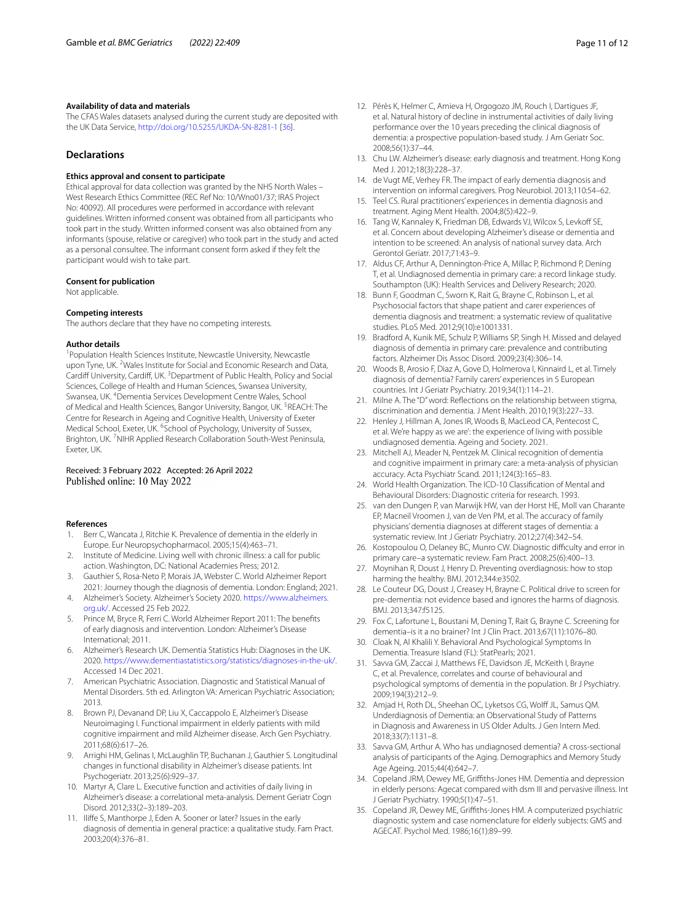#### **Availability of data and materials**

The CFAS Wales datasets analysed during the current study are deposited with the UK Data Service,<http://doi.org/10.5255/UKDA-SN-8281-1> [[36](#page-11-0)].

#### **Declarations**

#### **Ethics approval and consent to participate**

Ethical approval for data collection was granted by the NHS North Wales – West Research Ethics Committee (REC Ref No: 10/Wno01/37; IRAS Project No: 40092). All procedures were performed in accordance with relevant guidelines. Written informed consent was obtained from all participants who took part in the study. Written informed consent was also obtained from any informants (spouse, relative or caregiver) who took part in the study and acted as a personal consultee. The informant consent form asked if they felt the participant would wish to take part.

#### **Consent for publication**

Not applicable.

#### **Competing interests**

The authors declare that they have no competing interests.

#### **Author details**

<sup>1</sup> Population Health Sciences Institute, Newcastle University, Newcastle upon Tyne, UK.<sup>2</sup> Wales Institute for Social and Economic Research and Data, Cardiff University, Cardiff, UK.<sup>3</sup> Department of Public Health, Policy and Social Sciences, College of Health and Human Sciences, Swansea University, Swansea, UK. <sup>4</sup> Dementia Services Development Centre Wales, School of Medical and Health Sciences, Bangor University, Bangor, UK. <sup>5</sup>REACH: The Centre for Research in Ageing and Cognitive Health, University of Exeter Medical School, Exeter, UK. <sup>6</sup>School of Psychology, University of Sussex, Brighton, UK.<sup>7</sup>NIHR Applied Research Collaboration South-West Peninsula, Exeter, UK.

#### Received: 3 February 2022 Accepted: 26 April 2022 Published online: 10 May 2022

#### **References**

- <span id="page-10-0"></span>Berr C, Wancata J, Ritchie K. Prevalence of dementia in the elderly in Europe. Eur Neuropsychopharmacol. 2005;15(4):463–71.
- <span id="page-10-1"></span>2. Institute of Medicine. Living well with chronic illness: a call for public action. Washington, DC: National Academies Press; 2012.
- <span id="page-10-2"></span>3. Gauthier S, Rosa-Neto P, Morais JA, Webster C. World Alzheimer Report 2021: Journey though the diagnosis of dementia. London: England; 2021.
- <span id="page-10-3"></span>4. Alzheimer's Society. Alzheimer's Society 2020. [https://www.alzheimers.](https://www.alzheimers.org.uk/) [org.uk/.](https://www.alzheimers.org.uk/) Accessed 25 Feb 2022.
- <span id="page-10-4"></span>5. Prince M, Bryce R, Ferri C. World Alzheimer Report 2011: The benefts of early diagnosis and intervention. London: Alzheimer's Disease International; 2011.
- <span id="page-10-5"></span>6. Alzheimer's Research UK. Dementia Statistics Hub: Diagnoses in the UK. 2020.<https://www.dementiastatistics.org/statistics/diagnoses-in-the-uk/>. Accessed 14 Dec 2021.
- <span id="page-10-6"></span>7. American Psychiatric Association. Diagnostic and Statistical Manual of Mental Disorders. 5th ed. Arlington VA: American Psychiatric Association; 2013.
- <span id="page-10-7"></span>8. Brown PJ, Devanand DP, Liu X, Caccappolo E, Alzheimer's Disease Neuroimaging I. Functional impairment in elderly patients with mild cognitive impairment and mild Alzheimer disease. Arch Gen Psychiatry. 2011;68(6):617–26.
- 9. Arrighi HM, Gelinas I, McLaughlin TP, Buchanan J, Gauthier S. Longitudinal changes in functional disability in Alzheimer's disease patients. Int Psychogeriatr. 2013;25(6):929–37.
- <span id="page-10-8"></span>10. Martyr A, Clare L. Executive function and activities of daily living in Alzheimer's disease: a correlational meta-analysis. Dement Geriatr Cogn Disord. 2012;33(2–3):189–203.
- <span id="page-10-9"></span>11. Ilife S, Manthorpe J, Eden A. Sooner or later? Issues in the early diagnosis of dementia in general practice: a qualitative study. Fam Pract. 2003;20(4):376–81.
- <span id="page-10-10"></span>12. Pérès K, Helmer C, Amieva H, Orgogozo JM, Rouch I, Dartigues JF, et al. Natural history of decline in instrumental activities of daily living performance over the 10 years preceding the clinical diagnosis of dementia: a prospective population-based study. J Am Geriatr Soc. 2008;56(1):37–44.
- <span id="page-10-11"></span>13. Chu LW. Alzheimer's disease: early diagnosis and treatment. Hong Kong Med J. 2012;18(3):228–37.
- 14. de Vugt ME, Verhey FR. The impact of early dementia diagnosis and intervention on informal caregivers. Prog Neurobiol. 2013;110:54–62.
- <span id="page-10-12"></span>15. Teel CS. Rural practitioners' experiences in dementia diagnosis and treatment. Aging Ment Health. 2004;8(5):422–9.
- <span id="page-10-13"></span>16. Tang W, Kannaley K, Friedman DB, Edwards VJ, Wilcox S, Levkoff SE, et al. Concern about developing Alzheimer's disease or dementia and intention to be screened: An analysis of national survey data. Arch Gerontol Geriatr. 2017;71:43–9.
- <span id="page-10-14"></span>17. Aldus CF, Arthur A, Dennington-Price A, Millac P, Richmond P, Dening T, et al. Undiagnosed dementia in primary care: a record linkage study. Southampton (UK): Health Services and Delivery Research; 2020.
- <span id="page-10-15"></span>18. Bunn F, Goodman C, Sworn K, Rait G, Brayne C, Robinson L, et al. Psychosocial factors that shape patient and carer experiences of dementia diagnosis and treatment: a systematic review of qualitative studies. PLoS Med. 2012;9(10):e1001331.
- <span id="page-10-16"></span>19. Bradford A, Kunik ME, Schulz P, Williams SP, Singh H. Missed and delayed diagnosis of dementia in primary care: prevalence and contributing factors. Alzheimer Dis Assoc Disord. 2009;23(4):306–14.
- <span id="page-10-17"></span>20. Woods B, Arosio F, Diaz A, Gove D, Holmerova I, Kinnaird L, et al. Timely diagnosis of dementia? Family carers' experiences in 5 European countries. Int J Geriatr Psychiatry. 2019;34(1):114–21.
- <span id="page-10-18"></span>21. Milne A. The "D" word: Refections on the relationship between stigma, discrimination and dementia. J Ment Health. 2010;19(3):227–33.
- <span id="page-10-19"></span>22. Henley J, Hillman A, Jones IR, Woods B, MacLeod CA, Pentecost C, et al. We're happy as we are': the experience of living with possible undiagnosed dementia. Ageing and Society. 2021.
- <span id="page-10-20"></span>23. Mitchell AJ, Meader N, Pentzek M. Clinical recognition of dementia and cognitive impairment in primary care: a meta-analysis of physician accuracy. Acta Psychiatr Scand. 2011;124(3):165–83.
- <span id="page-10-21"></span>24. World Health Organization. The ICD-10 Classifcation of Mental and Behavioural Disorders: Diagnostic criteria for research. 1993.
- <span id="page-10-22"></span>25. van den Dungen P, van Marwijk HW, van der Horst HE, Moll van Charante EP, Macneil Vroomen J, van de Ven PM, et al. The accuracy of family physicians' dementia diagnoses at diferent stages of dementia: a systematic review. Int J Geriatr Psychiatry. 2012;27(4):342–54.
- <span id="page-10-23"></span>26. Kostopoulou O, Delaney BC, Munro CW. Diagnostic difficulty and error in primary care–a systematic review. Fam Pract. 2008;25(6):400–13.
- <span id="page-10-24"></span>27. Moynihan R, Doust J, Henry D. Preventing overdiagnosis: how to stop harming the healthy. BMJ. 2012;344:e3502.
- <span id="page-10-25"></span>28. Le Couteur DG, Doust J, Creasey H, Brayne C. Political drive to screen for pre-dementia: not evidence based and ignores the harms of diagnosis. BMJ. 2013;347:f5125.
- <span id="page-10-26"></span>29. Fox C, Lafortune L, Boustani M, Dening T, Rait G, Brayne C. Screening for dementia–is it a no brainer? Int J Clin Pract. 2013;67(11):1076–80.
- <span id="page-10-27"></span>30. Cloak N, Al Khalili Y. Behavioral And Psychological Symptoms In Dementia. Treasure Island (FL): StatPearls; 2021.
- <span id="page-10-28"></span>31. Savva GM, Zaccai J, Matthews FE, Davidson JE, McKeith I, Brayne C, et al. Prevalence, correlates and course of behavioural and psychological symptoms of dementia in the population. Br J Psychiatry. 2009;194(3):212–9.
- <span id="page-10-29"></span>32. Amjad H, Roth DL, Sheehan OC, Lyketsos CG, Wolf JL, Samus QM. Underdiagnosis of Dementia: an Observational Study of Patterns in Diagnosis and Awareness in US Older Adults. J Gen Intern Med. 2018;33(7):1131–8.
- <span id="page-10-30"></span>33. Savva GM, Arthur A. Who has undiagnosed dementia? A cross-sectional analysis of participants of the Aging. Demographics and Memory Study Age Ageing. 2015;44(4):642–7.
- <span id="page-10-31"></span>34. Copeland JRM, Dewey ME, Grifths-Jones HM. Dementia and depression in elderly persons: Agecat compared with dsm III and pervasive illness. Int J Geriatr Psychiatry. 1990;5(1):47–51.
- <span id="page-10-32"></span>35. Copeland JR, Dewey ME, Grifths-Jones HM. A computerized psychiatric diagnostic system and case nomenclature for elderly subjects: GMS and AGECAT. Psychol Med. 1986;16(1):89–99.